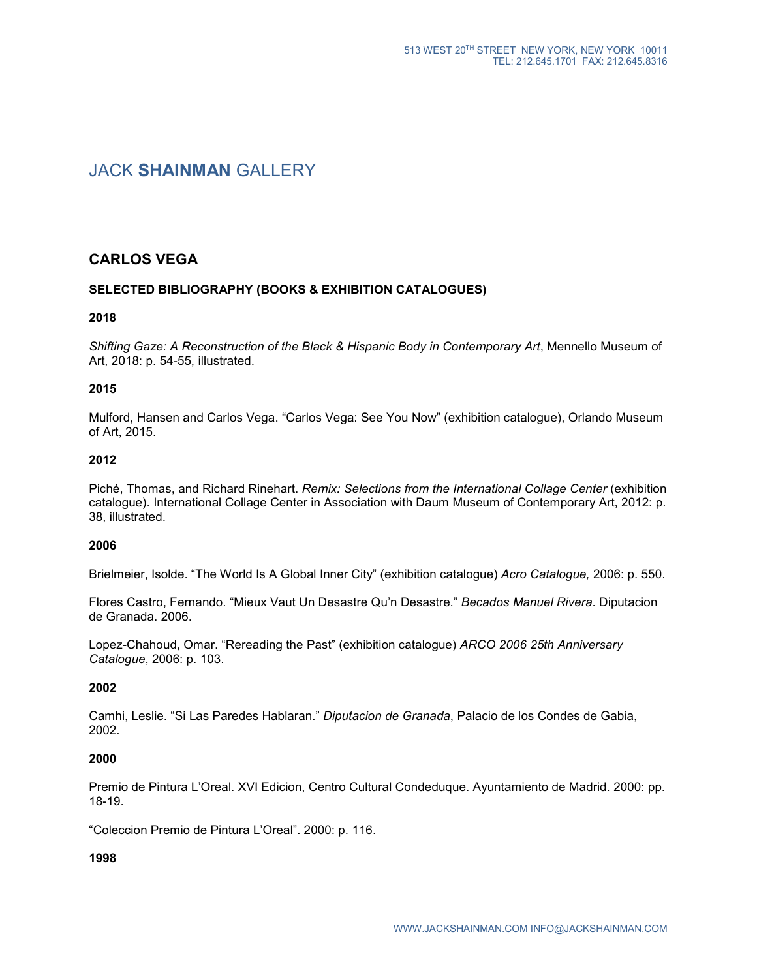# JACK **SHAINMAN** GALLERY

## **CARLOS VEGA**

## **SELECTED BIBLIOGRAPHY (BOOKS & EXHIBITION CATALOGUES)**

## **2018**

*Shifting Gaze: A Reconstruction of the Black & Hispanic Body in Contemporary Art*, Mennello Museum of Art, 2018: p. 54-55, illustrated.

#### **2015**

Mulford, Hansen and Carlos Vega. "Carlos Vega: See You Now" (exhibition catalogue), Orlando Museum of Art, 2015.

#### **2012**

Piché, Thomas, and Richard Rinehart. *Remix: Selections from the International Collage Center* (exhibition catalogue). International Collage Center in Association with Daum Museum of Contemporary Art, 2012: p. 38, illustrated.

#### **2006**

Brielmeier, Isolde. "The World Is A Global Inner City" (exhibition catalogue) *Acro Catalogue,* 2006: p. 550.

Flores Castro, Fernando. "Mieux Vaut Un Desastre Qu'n Desastre." *Becados Manuel Rivera*. Diputacion de Granada. 2006.

Lopez-Chahoud, Omar. "Rereading the Past" (exhibition catalogue) *ARCO 2006 25th Anniversary Catalogue*, 2006: p. 103.

## **2002**

Camhi, Leslie. "Si Las Paredes Hablaran." *Diputacion de Granada*, Palacio de los Condes de Gabia, 2002.

## **2000**

Premio de Pintura L'Oreal. XVI Edicion, Centro Cultural Condeduque. Ayuntamiento de Madrid. 2000: pp. 18-19.

"Coleccion Premio de Pintura L'Oreal". 2000: p. 116.

## **1998**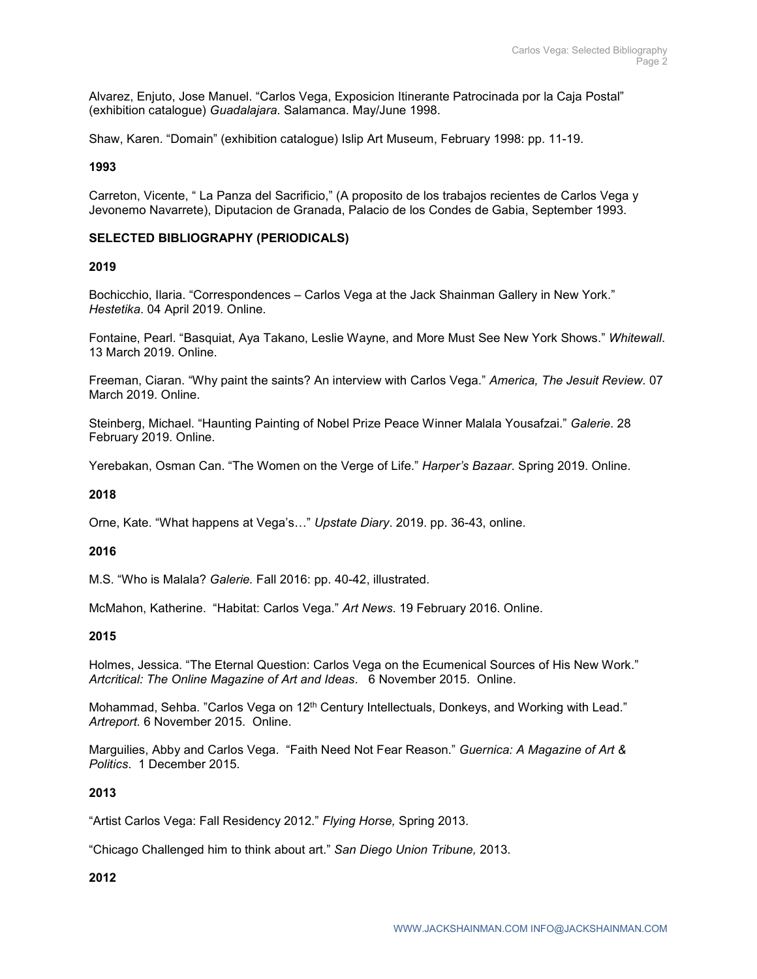Alvarez, Enjuto, Jose Manuel. "Carlos Vega, Exposicion Itinerante Patrocinada por la Caja Postal" (exhibition catalogue) *Guadalajara*. Salamanca. May/June 1998.

Shaw, Karen. "Domain" (exhibition catalogue) Islip Art Museum, February 1998: pp. 11-19.

## **1993**

Carreton, Vicente, " La Panza del Sacrificio," (A proposito de los trabajos recientes de Carlos Vega y Jevonemo Navarrete), Diputacion de Granada, Palacio de los Condes de Gabia, September 1993.

## **SELECTED BIBLIOGRAPHY (PERIODICALS)**

## **2019**

Bochicchio, Ilaria. "Correspondences – Carlos Vega at the Jack Shainman Gallery in New York." *Hestetika*. 04 April 2019. Online.

Fontaine, Pearl. "Basquiat, Aya Takano, Leslie Wayne, and More Must See New York Shows." *Whitewall*. 13 March 2019. Online.

Freeman, Ciaran. "Why paint the saints? An interview with Carlos Vega." *America, The Jesuit Review*. 07 March 2019. Online.

Steinberg, Michael. "Haunting Painting of Nobel Prize Peace Winner Malala Yousafzai." *Galerie*. 28 February 2019. Online.

Yerebakan, Osman Can. "The Women on the Verge of Life." *Harper's Bazaar*. Spring 2019. Online.

## **2018**

Orne, Kate. "What happens at Vega's…" *Upstate Diary*. 2019. pp. 36-43, online.

## **2016**

M.S. "Who is Malala? *Galerie.* Fall 2016: pp. 40-42, illustrated.

McMahon, Katherine. "Habitat: Carlos Vega." *Art News*. 19 February 2016. Online.

## **2015**

Holmes, Jessica. "The Eternal Question: Carlos Vega on the Ecumenical Sources of His New Work." *Artcritical: The Online Magazine of Art and Ideas*. 6 November 2015. Online.

Mohammad, Sehba. "Carlos Vega on 12<sup>th</sup> Century Intellectuals, Donkeys, and Working with Lead." *Artreport.* 6 November 2015. Online.

Marguilies, Abby and Carlos Vega. "Faith Need Not Fear Reason." *Guernica: A Magazine of Art & Politics*. 1 December 2015.

## **2013**

"Artist Carlos Vega: Fall Residency 2012." *Flying Horse,* Spring 2013.

"Chicago Challenged him to think about art." *San Diego Union Tribune,* 2013.

## **2012**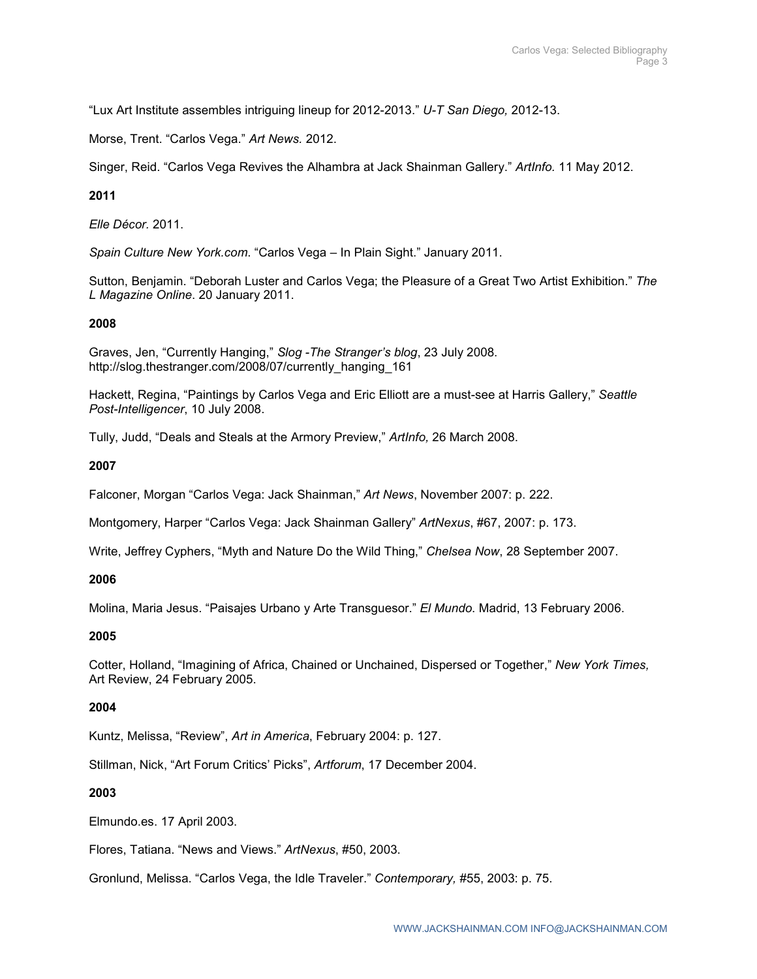"Lux Art Institute assembles intriguing lineup for 2012-2013." *U-T San Diego,* 2012-13.

Morse, Trent. "Carlos Vega." *Art News.* 2012.

Singer, Reid. "Carlos Vega Revives the Alhambra at Jack Shainman Gallery." *ArtInfo.* 11 May 2012.

## **2011**

*Elle Décor.* 2011.

*Spain Culture New York.com*. "Carlos Vega – In Plain Sight." January 2011.

Sutton, Benjamin. "Deborah Luster and Carlos Vega; the Pleasure of a Great Two Artist Exhibition." *The L Magazine Online*. 20 January 2011.

## **2008**

Graves, Jen, "Currently Hanging," *Slog -The Stranger's blog*, 23 July 2008. http://slog.thestranger.com/2008/07/currently\_hanging\_161

Hackett, Regina, "Paintings by Carlos Vega and Eric Elliott are a must-see at Harris Gallery," *Seattle Post-Intelligencer*, 10 July 2008.

Tully, Judd, "Deals and Steals at the Armory Preview," *ArtInfo,* 26 March 2008.

## **2007**

Falconer, Morgan "Carlos Vega: Jack Shainman," *Art News*, November 2007: p. 222.

Montgomery, Harper "Carlos Vega: Jack Shainman Gallery" *ArtNexus*, #67, 2007: p. 173.

Write, Jeffrey Cyphers, "Myth and Nature Do the Wild Thing," *Chelsea Now*, 28 September 2007.

## **2006**

Molina, Maria Jesus. "Paisajes Urbano y Arte Transguesor." *El Mundo*. Madrid, 13 February 2006.

## **2005**

Cotter, Holland, "Imagining of Africa, Chained or Unchained, Dispersed or Together," *New York Times,* Art Review, 24 February 2005.

## **2004**

Kuntz, Melissa, "Review", *Art in America*, February 2004: p. 127.

Stillman, Nick, "Art Forum Critics' Picks", *Artforum*, 17 December 2004.

## **2003**

Elmundo.es. 17 April 2003.

Flores, Tatiana. "News and Views." *ArtNexus*, #50, 2003.

Gronlund, Melissa. "Carlos Vega, the Idle Traveler." *Contemporary,* #55, 2003: p. 75.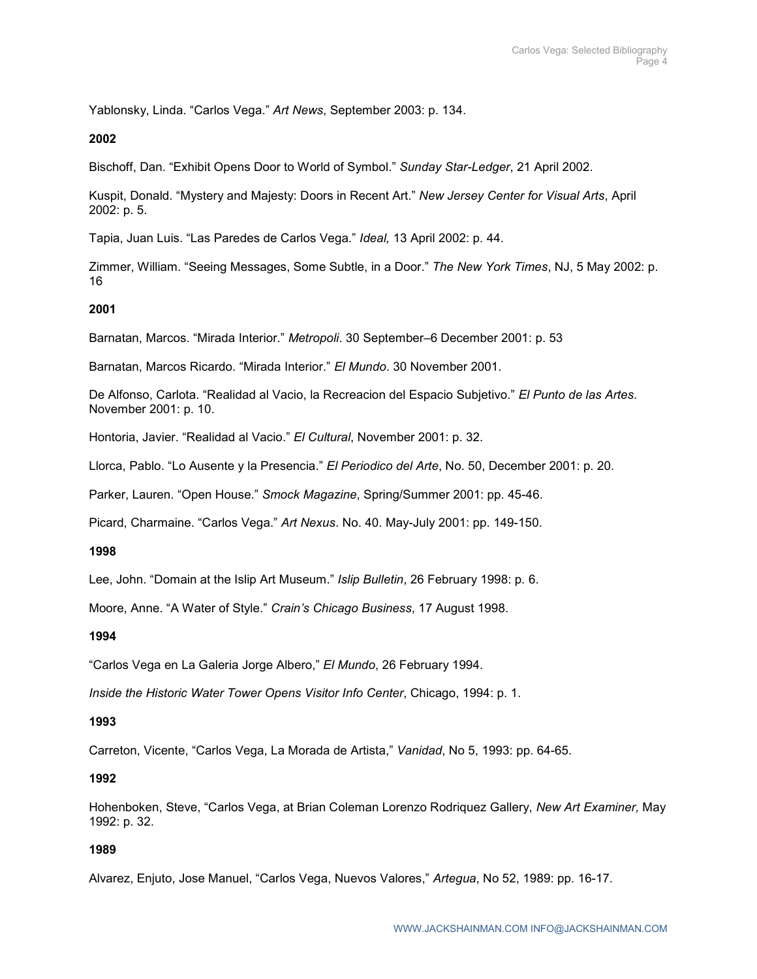Yablonsky, Linda. "Carlos Vega." *Art News*, September 2003: p. 134.

## **2002**

Bischoff, Dan. "Exhibit Opens Door to World of Symbol." *Sunday Star-Ledger*, 21 April 2002.

Kuspit, Donald. "Mystery and Majesty: Doors in Recent Art." *New Jersey Center for Visual Arts*, April 2002: p. 5.

Tapia, Juan Luis. "Las Paredes de Carlos Vega." *Ideal,* 13 April 2002: p. 44.

Zimmer, William. "Seeing Messages, Some Subtle, in a Door." *The New York Times*, NJ, 5 May 2002: p. 16

## **2001**

Barnatan, Marcos. "Mirada Interior." *Metropoli*. 30 September–6 December 2001: p. 53

Barnatan, Marcos Ricardo. "Mirada Interior." *El Mundo*. 30 November 2001.

De Alfonso, Carlota. "Realidad al Vacio, la Recreacion del Espacio Subjetivo." *El Punto de las Artes*. November 2001: p. 10.

Hontoria, Javier. "Realidad al Vacio." *El Cultural*, November 2001: p. 32.

Llorca, Pablo. "Lo Ausente y la Presencia." *El Periodico del Arte*, No. 50, December 2001: p. 20.

Parker, Lauren. "Open House." *Smock Magazine*, Spring/Summer 2001: pp. 45-46.

Picard, Charmaine. "Carlos Vega." *Art Nexus*. No. 40. May-July 2001: pp. 149-150.

## **1998**

Lee, John. "Domain at the Islip Art Museum." *Islip Bulletin*, 26 February 1998: p. 6.

Moore, Anne. "A Water of Style." *Crain's Chicago Business*, 17 August 1998.

## **1994**

"Carlos Vega en La Galeria Jorge Albero," *El Mundo*, 26 February 1994.

*Inside the Historic Water Tower Opens Visitor Info Center*, Chicago, 1994: p. 1.

## **1993**

Carreton, Vicente, "Carlos Vega, La Morada de Artista," *Vanidad*, No 5, 1993: pp. 64-65.

## **1992**

Hohenboken, Steve, "Carlos Vega, at Brian Coleman Lorenzo Rodriquez Gallery, *New Art Examiner,* May 1992: p. 32.

## **1989**

Alvarez, Enjuto, Jose Manuel, "Carlos Vega, Nuevos Valores," *Artegua*, No 52, 1989: pp. 16-17.